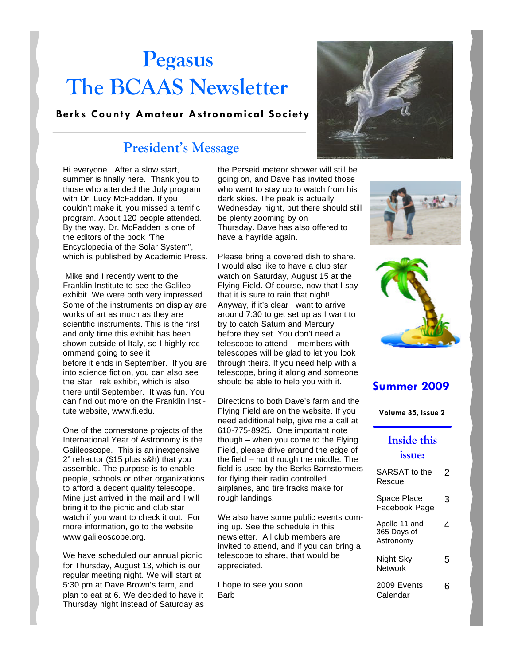# **Pegasus The BCAAS Newsletter**

#### **Berks County Amateur Astronomical Society**

### **President's Message**

Hi everyone. After a slow start, summer is finally here. Thank you to those who attended the July program with Dr. Lucy McFadden. If you couldn't make it, you missed a terrific program. About 120 people attended. By the way, Dr. McFadden is one of the editors of the book "The Encyclopedia of the Solar System", which is published by Academic Press.

Mike and I recently went to the Franklin Institute to see the Galileo exhibit. We were both very impressed. Some of the instruments on display are works of art as much as they are scientific instruments. This is the first and only time this exhibit has been shown outside of Italy, so I highly recommend going to see it before it ends in September. If you are into science fiction, you can also see the Star Trek exhibit, which is also there until September. It was fun. You can find out more on the Franklin Institute website, www.fi.edu.

One of the cornerstone projects of the International Year of Astronomy is the Galileoscope. This is an inexpensive 2" refractor (\$15 plus s&h) that you assemble. The purpose is to enable people, schools or other organizations to afford a decent quality telescope. Mine just arrived in the mail and I will bring it to the picnic and club star watch if you want to check it out. For more information, go to the website www.galileoscope.org.

We have scheduled our annual picnic for Thursday, August 13, which is our regular meeting night. We will start at 5:30 pm at Dave Brown's farm, and plan to eat at 6. We decided to have it Thursday night instead of Saturday as the Perseid meteor shower will still be going on, and Dave has invited those who want to stay up to watch from his dark skies. The peak is actually Wednesday night, but there should still be plenty zooming by on Thursday. Dave has also offered to have a hayride again.

Please bring a covered dish to share. I would also like to have a club star watch on Saturday, August 15 at the Flying Field. Of course, now that I say that it is sure to rain that night! Anyway, if it's clear I want to arrive around 7:30 to get set up as I want to try to catch Saturn and Mercury before they set. You don't need a telescope to attend – members with telescopes will be glad to let you look through theirs. If you need help with a telescope, bring it along and someone should be able to help you with it.

Directions to both Dave's farm and the Flying Field are on the website. If you need additional help, give me a call at 610-775-8925. One important note though – when you come to the Flying Field, please drive around the edge of the field – not through the middle. The field is used by the Berks Barnstormers for flying their radio controlled airplanes, and tire tracks make for rough landings!

We also have some public events coming up. See the schedule in this newsletter. All club members are invited to attend, and if you can bring a telescope to share, that would be appreciated.

I hope to see you soon! Barb







### **Summer 2009**

**Volume 35, Issue 2**

#### **Inside this issue:**

| SARSAT to the<br>Rescue                   | 2 |
|-------------------------------------------|---|
| Space Place<br>Facebook Page              | 3 |
| Apollo 11 and<br>365 Days of<br>Astronomy | 4 |
| Night Sky<br>Network                      | 5 |
| 2009 Events<br>Calendar                   |   |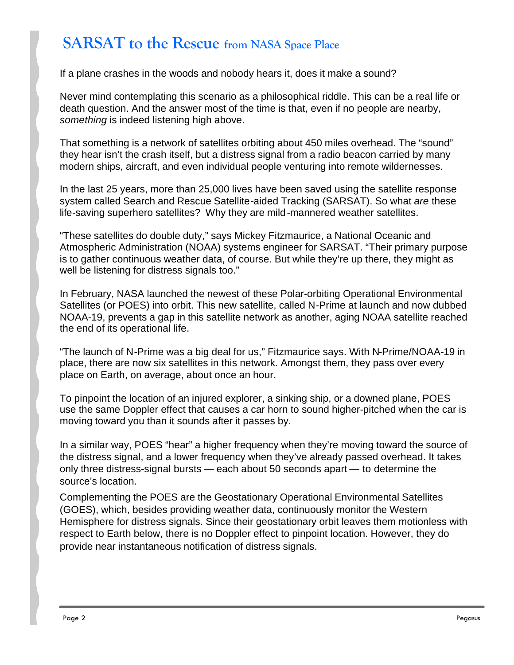# **SARSAT to the Rescue from NASA Space Place**

If a plane crashes in the woods and nobody hears it, does it make a sound?

Never mind contemplating this scenario as a philosophical riddle. This can be a real life or death question. And the answer most of the time is that, even if no people are nearby, *something* is indeed listening high above.

That something is a network of satellites orbiting about 450 miles overhead. The "sound" they hear isn't the crash itself, but a distress signal from a radio beacon carried by many modern ships, aircraft, and even individual people venturing into remote wildernesses.

In the last 25 years, more than 25,000 lives have been saved using the satellite response system called Search and Rescue Satellite-aided Tracking (SARSAT). So what *are* these life-saving superhero satellites? Why they are mild-mannered weather satellites.

"These satellites do double duty," says Mickey Fitzmaurice, a National Oceanic and Atmospheric Administration (NOAA) systems engineer for SARSAT. "Their primary purpose is to gather continuous weather data, of course. But while they're up there, they might as well be listening for distress signals too."

In February, NASA launched the newest of these Polar-orbiting Operational Environmental Satellites (or POES) into orbit. This new satellite, called N-Prime at launch and now dubbed NOAA-19, prevents a gap in this satellite network as another, aging NOAA satellite reached the end of its operational life.

"The launch of N-Prime was a big deal for us," Fitzmaurice says. With N-Prime/NOAA-19 in place, there are now six satellites in this network. Amongst them, they pass over every place on Earth, on average, about once an hour.

To pinpoint the location of an injured explorer, a sinking ship, or a downed plane, POES use the same Doppler effect that causes a car horn to sound higher-pitched when the car is moving toward you than it sounds after it passes by.

In a similar way, POES "hear" a higher frequency when they're moving toward the source of the distress signal, and a lower frequency when they've already passed overhead. It takes only three distress-signal bursts — each about 50 seconds apart — to determine the source's location.

Complementing the POES are the Geostationary Operational Environmental Satellites (GOES), which, besides providing weather data, continuously monitor the Western Hemisphere for distress signals. Since their geostationary orbit leaves them motionless with respect to Earth below, there is no Doppler effect to pinpoint location. However, they do provide near instantaneous notification of distress signals.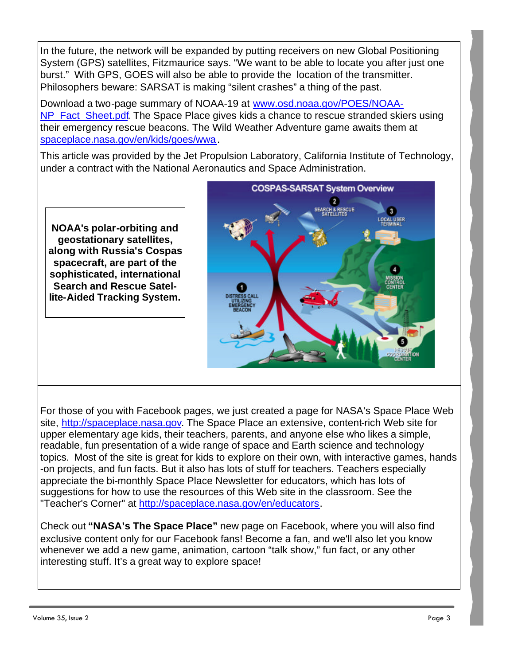In the future, the network will be expanded by putting receivers on new Global Positioning System (GPS) satellites, Fitzmaurice says. "We want to be able to locate you after just one burst." With GPS, GOES will also be able to provide the location of the transmitter. Philosophers beware: SARSAT is making "silent crashes" a thing of the past.

Download a two-page summary of NOAA-19 at www.osd.noaa.gov/POES/NOAA-NP Fact Sheet.pdf. The Space Place gives kids a chance to rescue stranded skiers using their emergency rescue beacons. The Wild Weather Adventure game awaits them at spaceplace.nasa.gov/en/kids/goes/wwa.

This article was provided by the Jet Propulsion Laboratory, California Institute of Technology, under a contract with the National Aeronautics and Space Administration.

**NOAA's polar-orbiting and geostationary satellites, along with Russia's Cospas spacecraft, are part of the sophisticated, international Search and Rescue Satellite-Aided Tracking System.**



For those of you with Facebook pages, we just created a page for NASA's Space Place Web site, http://spaceplace.nasa.gov. The Space Place an extensive, content-rich Web site for upper elementary age kids, their teachers, parents, and anyone else who likes a simple, readable, fun presentation of a wide range of space and Earth science and technology topics. Most of the site is great for kids to explore on their own, with interactive games, hands -on projects, and fun facts. But it also has lots of stuff for teachers. Teachers especially appreciate the bi-monthly Space Place Newsletter for educators, which has lots of suggestions for how to use the resources of this Web site in the classroom. See the "Teacher's Corner" at http://spaceplace.nasa.gov/en/educators.

Check out **"NASA's The Space Place"** new page on Facebook, where you will also find exclusive content only for our Facebook fans! Become a fan, and we'll also let you know whenever we add a new game, animation, cartoon "talk show," fun fact, or any other interesting stuff. It's a great way to explore space!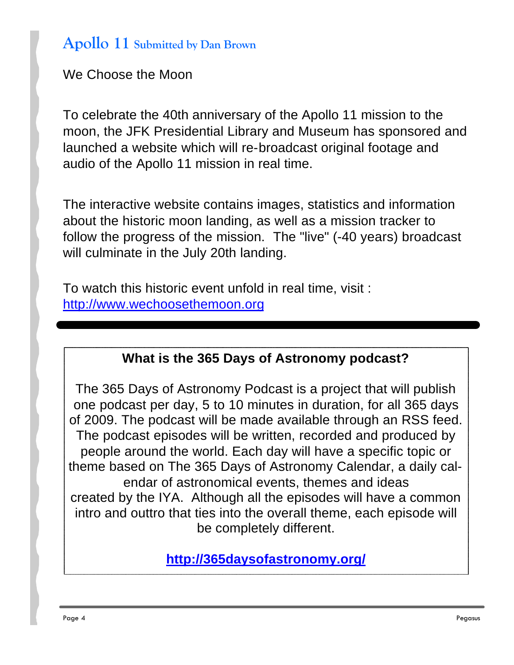## **Apollo 11 Submitted by Dan Brown**

We Choose the Moon

To celebrate the 40th anniversary of the Apollo 11 mission to the moon, the JFK Presidential Library and Museum has sponsored and launched a website which will re-broadcast original footage and audio of the Apollo 11 mission in real time.

The interactive website contains images, statistics and information about the historic moon landing, as well as a mission tracker to follow the progress of the mission. The "live" (-40 years) broadcast will culminate in the July 20th landing.

To watch this historic event unfold in real time, visit : http://www.wechoosethemoon.org

### **What is the 365 Days of Astronomy podcast?**

The 365 Days of Astronomy Podcast is a project that will publish one podcast per day, 5 to 10 minutes in duration, for all 365 days of 2009. The podcast will be made available through an RSS feed. The podcast episodes will be written, recorded and produced by people around the world. Each day will have a specific topic or theme based on The 365 Days of Astronomy Calendar, a daily calendar of astronomical events, themes and ideas created by the IYA. Although all the episodes will have a common intro and outtro that ties into the overall theme, each episode will be completely different.

**http://365daysofastronomy.org/**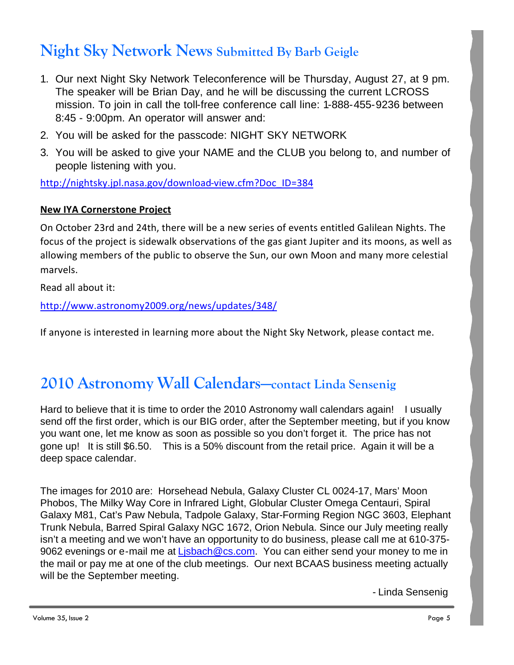# **Night Sky Network News Submitted By Barb Geigle**

- 1. Our next Night Sky Network Teleconference will be Thursday, August 27, at 9 pm. The speaker will be Brian Day, and he will be discussing the current LCROSS mission. To join in call the toll-free conference call line: 1-888-455-9236 between 8:45 - 9:00pm. An operator will answer and:
- 2. You will be asked for the passcode: NIGHT SKY NETWORK
- 3. You will be asked to give your NAME and the CLUB you belong to, and number of people listening with you.

http://nightsky.jpl.nasa.gov/download-view.cfm?Doc\_ID=384

### **New IYA Cornerstone Project**

On October 23rd and 24th, there will be a new series of events entitled Galilean Nights. The focus of the project is sidewalk observations of the gas giant Jupiter and its moons, as well as allowing members of the public to observe the Sun, our own Moon and many more celestial marvels.

Read all about it:

http://www.astronomy2009.org/news/updates/348/

If anyone is interested in learning more about the Night Sky Network, please contact me.

# **2010 Astronomy Wall Calendars—contact Linda Sensenig**

Hard to believe that it is time to order the 2010 Astronomy wall calendars again! I usually send off the first order, which is our BIG order, after the September meeting, but if you know you want one, let me know as soon as possible so you don't forget it. The price has not gone up! It is still \$6.50. This is a 50% discount from the retail price. Again it will be a deep space calendar.

The images for 2010 are: Horsehead Nebula, Galaxy Cluster CL 0024-17, Mars' Moon Phobos, The Milky Way Core in Infrared Light, Globular Cluster Omega Centauri, Spiral Galaxy M81, Cat's Paw Nebula, Tadpole Galaxy, Star-Forming Region NGC 3603, Elephant Trunk Nebula, Barred Spiral Galaxy NGC 1672, Orion Nebula. Since our July meeting really isn't a meeting and we won't have an opportunity to do business, please call me at 610-375- 9062 evenings or e-mail me at Lisbach@cs.com. You can either send your money to me in the mail or pay me at one of the club meetings. Our next BCAAS business meeting actually will be the September meeting.

- Linda Sensenig